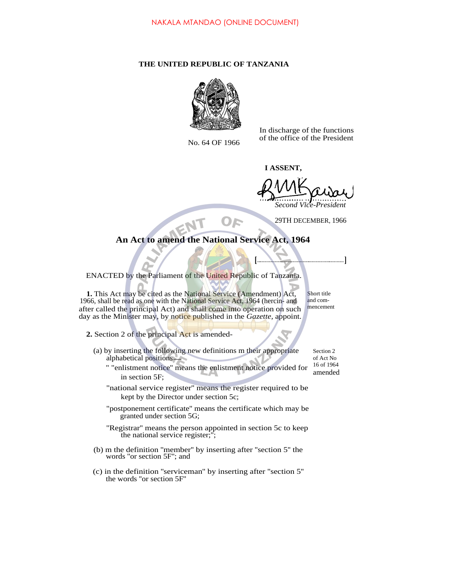## **THE UNITED REPUBLIC OF TANZANIA**



In discharge of the functions No. 64 OF 1966 of the office of the President

**I ASSENT,<br>O 1 1 A** *Second Vice-President*

29TH DECEMBER, 1966

**An Act to amend the National Service Act, 1964**

**[ ]**

ENACTED by the Parliament of the United Republic of Tanzania.

**1.** This Act may be cited as the National Service (Amendment) Act, 1966, shall be read as one with the National Service Act, 1964 (hercin- and after called the principal Act) and shall come into operation on such day as the Minister may, by notice published in the *Gazette,* appoint.

- **2.** Section 2 of the principal Act is amended-
	- (a) by inserting the following new definitions m their appropriate alphabetical positions
		- " "enlistment notice'' means the enlistment notice provided for in section 5F; 16 of 1964 amended
		- "national service register'' means the register required to be kept by the Director under section 5c;
		- "postponement certificate'' means the certificate which may be granted under section 5G;
		- "Registrar" means the person appointed in section 5c to keep the national service register;'';
	- (b) m the definition ''member'' by inserting after ''section 5'' the words ''or section 5F''; and
	- (c) in the definition ''serviceman'' by inserting after ''section 5'' the words ''or section 5F''

mencement

Section 2 of Act No

Short title and com-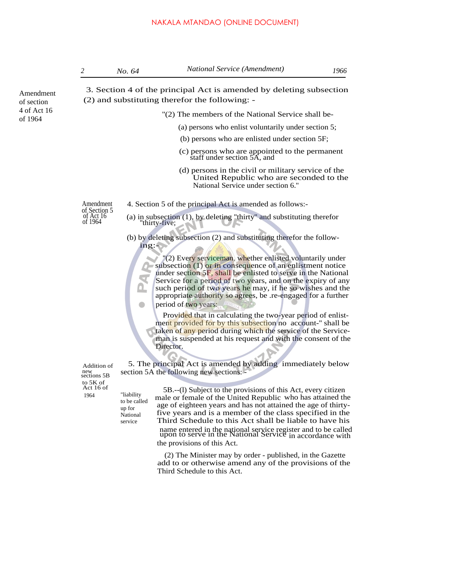### NAKALA MTANDAO (ONLINE DOCUMENT)

Amendment of section 4 of Act 16 of 1964

 3. Section 4 of the principal Act is amended by deleting subsection (2) and substituting therefor the following: -

- ''(2) The members of the National Service shall be-
	- (a) persons who enlist voluntarily under section 5;
	- (b) persons who are enlisted under section 5F;
	- (c) persons who are appointed to the permanent staff under section 5A, and
	- (d) persons in the civil or military service of the United Republic who are seconded to the National Service under section 6.''

Amendment 4. Section 5 of the principal Act is amended as follows:-

- of Section 5 of Act 16 of 1964
	- (a) in subsection (1), by deleting ''thirty'' and substituting therefor 'thirty-five;
	- (b) by deleting subsection (2) and substituting therefor the following:-

"(2) Every serviceman, whether enlisted voluntarily under subsection (1) or in consequence of an enlistment notice under section 5F, shall be enlisted to serve in the National Service for a period of two years, and on the expiry of any such period of two years he may, if he so wishes and the appropriate authority so agrees, be .re-engaged for a further

period of two years:

Provided that in calculating the two-year period of enlistment provided for by this subsection no account-" shall be taken of any period during which the service of the Serviceman is suspended at his request and with the consent of the Director.

5. The principal Act is amended by adding immediately below section 5A the following new sections:

Addition of new sections 5B to 5K of

"liability to be called up for National service

Act 16 of 5B.--(l) Subject to the provisions of this Act, every citizen<br>1964  $\frac{1}{2}$  liability male or female of the United Republic who has attained the age of eighteen years and has not attained the age of thirtyfive years and is a member of the class specified in the Third Schedule to this Act shall be liable to have his name entered in the national service register and to be called upon to serve in the National Service in accordance with the provisions of this Act.

> (2) The Minister may by order - published, in the Gazette add to or otherwise amend any of the provisions of the Third Schedule to this Act.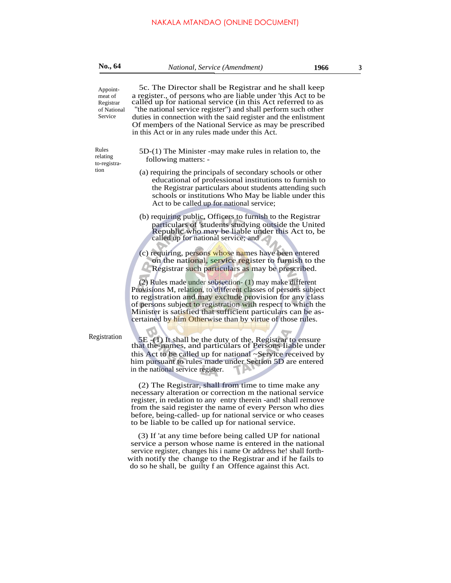# NAKALA MTANDAO (ONLINE DOCUMENT)

| No., 64                                                    | National, Service (Amendment)<br>1966                                                                                                                                                                                                                                                                                                                                                                                              | 3 |
|------------------------------------------------------------|------------------------------------------------------------------------------------------------------------------------------------------------------------------------------------------------------------------------------------------------------------------------------------------------------------------------------------------------------------------------------------------------------------------------------------|---|
| Appoint-<br>meat of<br>Registrar<br>of National<br>Service | 5c. The Director shall be Registrar and he shall keep<br>a register., of persons who are liable under 'this Act to be called up for national service (in this Act referred to as<br>"the national service register") and shall perform such other<br>duties in connection with the said register and the enlistment<br>Of members of the National Service as may be prescribed<br>in this Act or in any rules made under this Act. |   |
| Rules<br>relating<br>to-registra-<br>tion                  | 5D-(1) The Minister -may make rules in relation to, the<br>following matters: -                                                                                                                                                                                                                                                                                                                                                    |   |
|                                                            | (a) requiring the principals of secondary schools or other<br>educational of professional institutions to furnish to<br>the Registrar particulars about students attending such<br>schools or institutions Who May be liable under this<br>Act to be called up for national service;                                                                                                                                               |   |
|                                                            | (b) requiring public, Officers to furnish to the Registrar<br>particulars of 'students studying outside the United<br>Republic who may be liable under this Act to, be<br>called up for national service; and                                                                                                                                                                                                                      |   |
|                                                            | (c) requiring, persons whose names have been entered<br>on the national, service register to furnish to the<br>Registrar such particulars as may be prescribed.                                                                                                                                                                                                                                                                    |   |
|                                                            | (2) Rules made under subsection- (1) may make different<br>Provisions M, relation, to different classes of persons subject<br>to registration and may exclude provision for any class<br>of persons subject to registration with respect to which the<br>Minister is satisfied that sufficient particulars can be as-<br>certained by him Otherwise than by virtue of those rules.                                                 |   |
| Registration                                               | 5E -(1) It shall be the duty of the, Registrar to ensure that the-names, and particulars of Persons Iiable under<br>this Act to be called up for national ~Service received by<br>him pursuant to rules made under Section 5D are entered<br>in the national service register.                                                                                                                                                     |   |
|                                                            | (2) The Registrar, shall from time to time make any<br>necessary alteration or correction m the national service<br>register, in redation to any entry therein - and! shall remove<br>from the said register the name of every Person who dies<br>before, being-called- up for national service or who ceases<br>to be liable to be called up for national service.                                                                |   |
|                                                            | (3) If 'at any time before being called UP for national<br>service a person whose name is entered in the national<br>service register, changes his i name Or address he! shall forth-<br>with notify the change to the Registrar and if he fails to                                                                                                                                                                                |   |

do so he shall, be guilty f an Offence against this Act.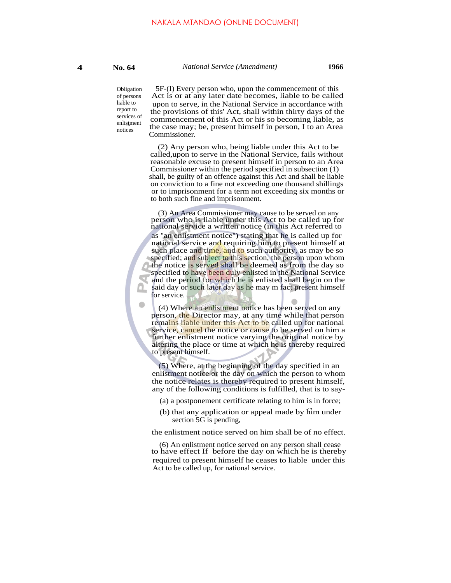enlistment Obligation of persons liable to report to services of notices

5F-(I) Every person who, upon the commencement of this Act is or at any later date becomes, liable to be called upon to serve, in the National Service in accordance with the provisions of this' Act, shall within thirty days of the commencement of this Act or his so becoming liable, as the case may; be, present himself in person, I to an Area Commissioner.

(2) Any person who, being liable under this Act to be called,upon to serve in the National Service, fails without reasonable excuse to present himself in person to an Area Commissioner within the period specified in subsection (1) shall, be guilty of an offence against this Act and shall be liable on conviction to a fine not exceeding one thousand shillings or to imprisonment for a term not exceeding six months or to both such fine and imprisonment.

(3) An Area Commissioner may cause to be served on any person who is liable under this Act to be called up for national service a written notice (in this Act referred to as ''an enlistment notice'') stating that he is called up for national service and requiring him to present himself at such place and time, and to such authority, as may be so specified; and subject to this section, the person upon whom the notice is served shall be deemed as from the day so specified to have been duly enlisted in the National Service and the period for which he is enlisted shall begin on the said day or such later day as he may m fact present himself for service.

(4) Where an enlistment notice has been served on any person, the Director may, at any time while that person remains liable under this Act to be called up for national service, cancel the notice or cause to be served on him a further enlistment notice varying the original notice by altering the place or time at which he is thereby required to present himself.

(5) Where, at the beginning of the day specified in an enlistment notice or the day on which the person to whom the notice relates is thereby required to present himself, any of the following conditions is fulfilled, that is to say-

(a) a postponement certificate relating to him is in force;

... (b) that any application or appeal made by him under section 5G is pending,

the enlistment notice served on him shall be of no effect.

(6) An enlistment notice served on any person shall cease to have effect If before the day on which he is thereby required to present himself he ceases to liable under this Act to be called up, for national service.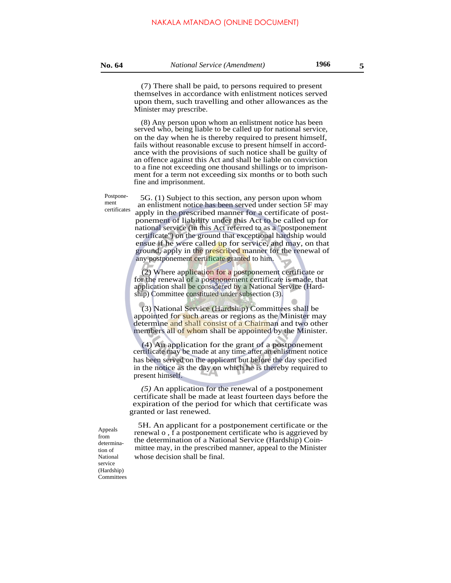### **No. 64** *National Service (Amendment)* **1966 5**

(7) There shall be paid, to persons required to present themselves in accordance with enlistment notices served upon them, such travelling and other allowances as the Minister may prescribe.

(8) Any person upon whom an enlistment notice has been served who, being liable to be called up for national service, on the day when he is thereby required to present himself, fails without reasonable excuse to present himself in accordance with the provisions of such notice shall be guilty of an offence against this Act and shall be liable on conviction to a fine not exceeding one thousand shillings or to imprisonment for a term not exceeding six months or to both such fine and imprisonment.

Postponement certificates

5G. (1) Subject to this section, any person upon whom an enlistment notice has been served under section 5F may apply in the prescribed manner for a certificate of postponement of liability under this Act to be called up for national service (in this Act referred to as a ''postponement certificate'') on the ground that exceptional hardship would ensue if he were called up for service, and may, on that ground, apply in the prescribed manner for the renewal of any postponement certificate granted to him.

(2) Where application for a postponement certificate or for the renewal of a postponement certificate is made, that application shall be considered by a National Service (Hardship) Committee constituted under subsection (3).

(3) National Service (Hardship) Committees shall be appointed for such areas or regions as the Minister may determine and shall consist of a Chairman and two other members all of whom shall be appointed by the Minister.

(4) An application for the grant of a postponement certificate may be made at any time after an enlistment notice has been served on the applicant but before the day specified in the notice as the day on which he is thereby required to present himself.

*(5)* An application for the renewal of a postponement certificate shall be made at least fourteen days before the expiration of the period for which that certificate was granted or last renewed.

5H. An applicant for a postponement certificate or the renewal o , f a postponement certificate who is aggrieved by the determination of a National Service (Hardship) Coin mittee may, in the prescribed manner, appeal to the Minister whose decision shall be final.

Appeals from determination of National service (Hardship) **Committees**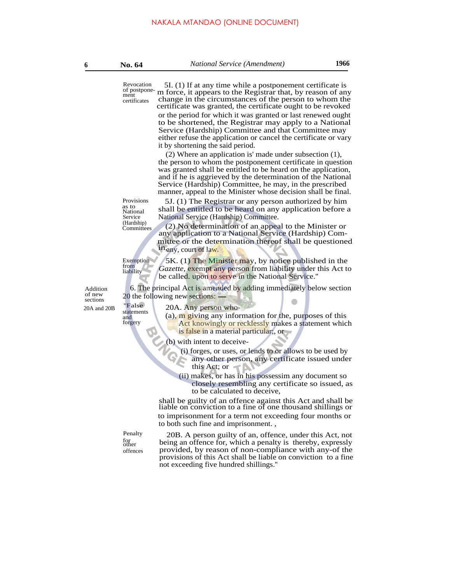of postponement certificates

Provisions as to National Service<br>(Hardship)

**Committees** 

from

statements

forgery

Revocation 5I. (1) If at any time while a postponement certificate is m force, it appears to the Registrar that, by reason of any change in the circumstances of the person to whom the certificate was granted, the certificate ought to be revoked

> or the period for which it was granted or last renewed ought to be shortened, the Registrar may apply to a National Service (Hardship) Committee and that Committee may either refuse the application or cancel the certificate or vary it by shortening the said period.

> (2) Where an application is' made under subsection (1), the person to whom the postponement certificate in question was granted shall be entitled to be heard on the application, and if he is aggrieved by the determination of the National Service (Hardship) Committee, he may, in the prescribed manner, appeal to the Minister whose decision shall be final.

5J. (1) The Registrar or any person authorized by him shall be entitled to be heard on any application before a National Service (Hardship) Committee.

 $(2)$  No determination of an appeal to the Minister or any application to a National Service (Hardship) Committee or the determination thereof shall be questioned in<sub>any, court of law.</sub>

5K. (1) The Minister may, by notice published in the *Gazette, exempt any person from liability under this Act to* be called. upon to serve in the National Service." Exemption liability

Addition 6. The principal Act is amended by adding immediately below section of new  $\frac{20 \text{ the following new sections}}{20 \text{ ft}}$ of new 20 the following new sections:  $-$ <br>sections  $\frac{120 \text{ A}}{20 \text{ A}} \frac{20 \text{ A}}{20 \text{ A}}$ 

20A and 20B

20A. Any person who-

 $a_{\text{and}}$  (a),  $\overline{m}$  giving any information for the, purposes of this Act knowingly or recklessly makes a statement which is false in a material particular;, or

(b) with intent to deceive-

- (i) forges, or uses, or lends to or allows to be used by any other person, any certificate issued under
	- this Act; or
- (ii) makes, or has in his possessim any document so closely resembling any certificate so issued, as to be calculated to deceive,

shall be guilty of an offence against this Act and shall be liable on conviction to a fine of one thousand shillings or to imprisonment for a term not exceeding four months or to both such fine and imprisonment. ,

for other offences

Penalty 20B. A person guilty of an, offence, under this Act, not being an offence for, which a penalty is thereby, expressly provided, by reason of non-compliance with any-of the provisions of this Act shall be liable on conviction to a fine not exceeding five hundred shillings.''